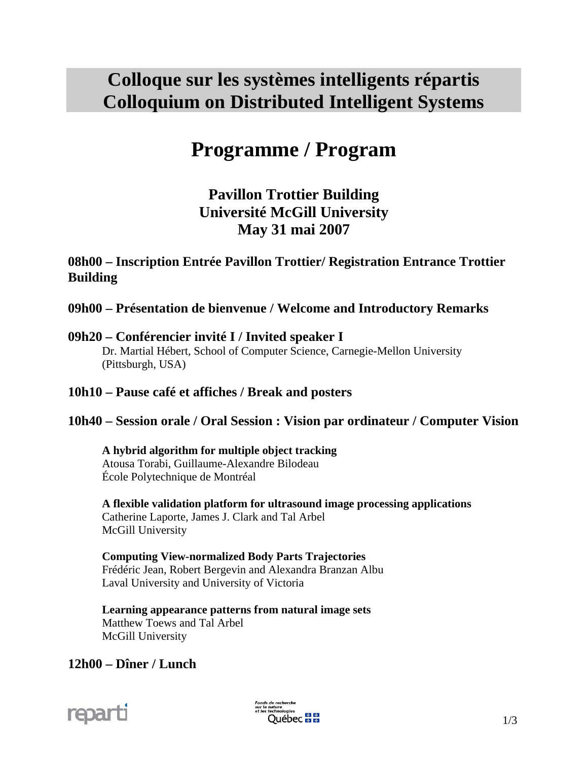## **Colloque sur les systèmes intelligents répartis Colloquium on Distributed Intelligent Systems**

# **Programme / Program**

## **Pavillon Trottier Building Université McGill University May 31 mai 2007**

## **08h00 – Inscription Entrée Pavillon Trottier/ Registration Entrance Trottier Building**

**09h00 – Présentation de bienvenue / Welcome and Introductory Remarks** 

## **09h20 – Conférencier invité I / Invited speaker I**

 Dr. Martial Hébert, School of Computer Science, Carnegie-Mellon University (Pittsburgh, USA)

## **10h10 – Pause café et affiches / Break and posters**

## **10h40 – Session orale / Oral Session : Vision par ordinateur / Computer Vision**

#### **A hybrid algorithm for multiple object tracking**  Atousa Torabi, Guillaume-Alexandre Bilodeau École Polytechnique de Montréal

 **A flexible validation platform for ultrasound image processing applications**  Catherine Laporte, James J. Clark and Tal Arbel McGill University

 **Computing View-normalized Body Parts Trajectories**  Frédéric Jean, Robert Bergevin and Alexandra Branzan Albu Laval University and University of Victoria

 **Learning appearance patterns from natural image sets**  Matthew Toews and Tal Arbel McGill University

## **12h00 – Dîner / Lunch**

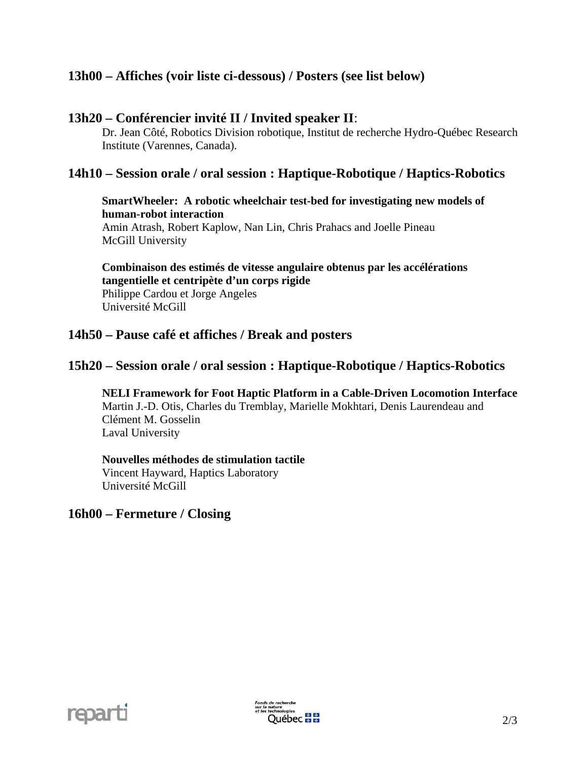## **13h00 – Affiches (voir liste ci-dessous) / Posters (see list below)**

## **13h20 – Conférencier invité II / Invited speaker II**:

Dr. Jean Côté, Robotics Division robotique, Institut de recherche Hydro-Québec Research Institute (Varennes, Canada).

## **14h10 – Session orale / oral session : Haptique-Robotique / Haptics-Robotics**

## **SmartWheeler: A robotic wheelchair test-bed for investigating new models of human-robot interaction**

 Amin Atrash, Robert Kaplow, Nan Lin, Chris Prahacs and Joelle Pineau McGill University

**Combinaison des estimés de vitesse angulaire obtenus par les accélérations tangentielle et centripète d'un corps rigide**  Philippe Cardou et Jorge Angeles Université McGill

### **14h50 – Pause café et affiches / Break and posters**

## **15h20 – Session orale / oral session : Haptique-Robotique / Haptics-Robotics**

 **NELI Framework for Foot Haptic Platform in a Cable-Driven Locomotion Interface**  Martin J.-D. Otis, Charles du Tremblay, Marielle Mokhtari, Denis Laurendeau and Clément M. Gosselin Laval University

#### **Nouvelles méthodes de stimulation tactile**  Vincent Hayward, Haptics Laboratory Université McGill

#### **16h00 – Fermeture / Closing**